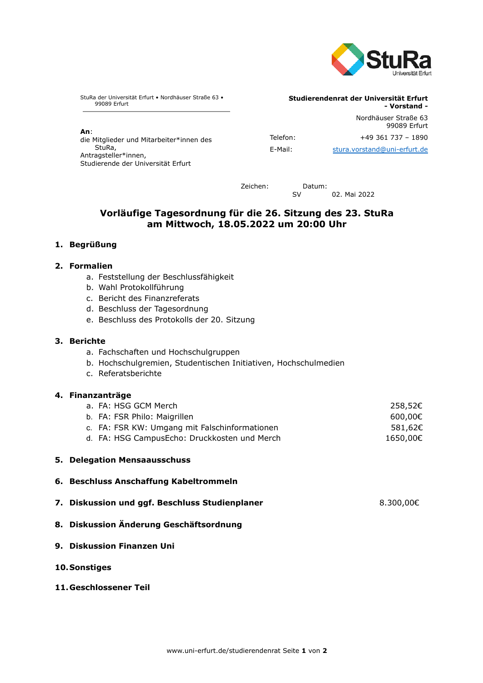

StuRa der Universität Erfurt • Nordhäuser Straße 63 • 99089 Erfurt

**An**: die Mitglieder und Mitarbeiter\*innen des StuRa, Antragsteller\*innen,

Studierende der Universität Erfurt

99089 Erfurt Telefon: +49 361 737 - 1890 E-Mail: [stura.vorstand@uni-erfurt.de](mailto:stura.vorstand@uni-erfurt.de)

Nordhäuser Straße 63

**- Vorstand -**

**Studierendenrat der Universität Erfurt**

Zeichen: Datum:

SV 02. Mai 2022

# **Vorläufige Tagesordnung für die 26. Sitzung des 23. StuRa am Mittwoch, 18.05.2022 um 20:00 Uhr**

# **1. Begrüßung**

# **2. Formalien**

- a. Feststellung der Beschlussfähigkeit
- b. Wahl Protokollführung
- c. Bericht des Finanzreferats
- d. Beschluss der Tagesordnung
- e. Beschluss des Protokolls der 20. Sitzung

### **3. Berichte**

- a. Fachschaften und Hochschulgruppen
- b. Hochschulgremien, Studentischen Initiativen, Hochschulmedien
- c. Referatsberichte

### **4. Finanzanträge**

| a. FA: HSG GCM Merch                          | 258,52€  |
|-----------------------------------------------|----------|
| b. FA: FSR Philo: Maigrillen                  | 600.00€  |
| c. FA: FSR KW: Umgang mit Falschinformationen | 581,62€  |
| d. FA: HSG CampusEcho: Druckkosten und Merch  | 1650,00€ |
|                                               |          |

#### **5. Delegation Mensaausschuss**

- **6. Beschluss Anschaffung Kabeltrommeln**
- **7. Diskussion und ggf. Beschluss Studienplaner** 8.300,00€
- **8. Diskussion Änderung Geschäftsordnung**
- **9. Diskussion Finanzen Uni**
- **10.Sonstiges**
- **11.Geschlossener Teil**